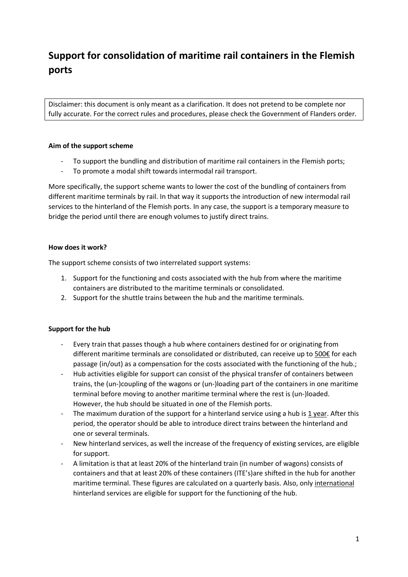# **Support for consolidation of maritime rail containers in the Flemish ports**

Disclaimer: this document is only meant as a clarification. It does not pretend to be complete nor fully accurate. For the correct rules and procedures, please check the Government of Flanders order.

## **Aim of the support scheme**

- To support the bundling and distribution of maritime rail containers in the Flemish ports;
- To promote a modal shift towards intermodal rail transport.

More specifically, the support scheme wants to lower the cost of the bundling of containers from different maritime terminals by rail. In that way it supports the introduction of new intermodal rail services to the hinterland of the Flemish ports. In any case, the support is a temporary measure to bridge the period until there are enough volumes to justify direct trains.

## **How does it work?**

The support scheme consists of two interrelated support systems:

- 1. Support for the functioning and costs associated with the hub from where the maritime containers are distributed to the maritime terminals or consolidated.
- 2. Support for the shuttle trains between the hub and the maritime terminals.

## **Support for the hub**

- Every train that passes though a hub where containers destined for or originating from different maritime terminals are consolidated or distributed, can receive up to 500€ for each passage (in/out) as a compensation for the costs associated with the functioning of the hub.;
- Hub activities eligible for support can consist of the physical transfer of containers between trains, the (un-)coupling of the wagons or (un-)loading part of the containers in one maritime terminal before moving to another maritime terminal where the rest is (un-)loaded. However, the hub should be situated in one of the Flemish ports.
- The maximum duration of the support for a hinterland service using a hub is 1 year. After this period, the operator should be able to introduce direct trains between the hinterland and one or several terminals.
- New hinterland services, as well the increase of the frequency of existing services, are eligible for support.
- A limitation is that at least 20% of the hinterland train (in number of wagons) consists of containers and that at least 20% of these containers (ITE's)are shifted in the hub for another maritime terminal. These figures are calculated on a quarterly basis. Also, only international hinterland services are eligible for support for the functioning of the hub.